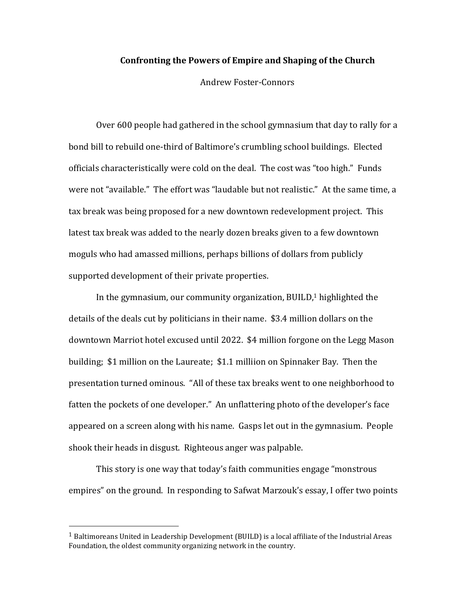## **Confronting the Powers of Empire and Shaping of the Church**

Andrew Foster-Connors

Over 600 people had gathered in the school gymnasium that day to rally for a bond bill to rebuild one-third of Baltimore's crumbling school buildings. Elected officials characteristically were cold on the deal. The cost was "too high." Funds were not "available." The effort was "laudable but not realistic." At the same time, a tax break was being proposed for a new downtown redevelopment project. This latest tax break was added to the nearly dozen breaks given to a few downtown moguls who had amassed millions, perhaps billions of dollars from publicly supported development of their private properties.

In the gymnasium, our community organization, BUILD, $1$  highlighted the details of the deals cut by politicians in their name. \$3.4 million dollars on the downtown Marriot hotel excused until 2022. \$4 million forgone on the Legg Mason building; \$1 million on the Laureate; \$1.1 milliion on Spinnaker Bay. Then the presentation turned ominous. "All of these tax breaks went to one neighborhood to fatten the pockets of one developer." An unflattering photo of the developer's face appeared on a screen along with his name. Gasps let out in the gymnasium. People shook their heads in disgust. Righteous anger was palpable.

This story is one way that today's faith communities engage "monstrous empires" on the ground. In responding to Safwat Marzouk's essay, I offer two points

<sup>&</sup>lt;sup>1</sup> Baltimoreans United in Leadership Development (BUILD) is a local affiliate of the Industrial Areas Foundation, the oldest community organizing network in the country.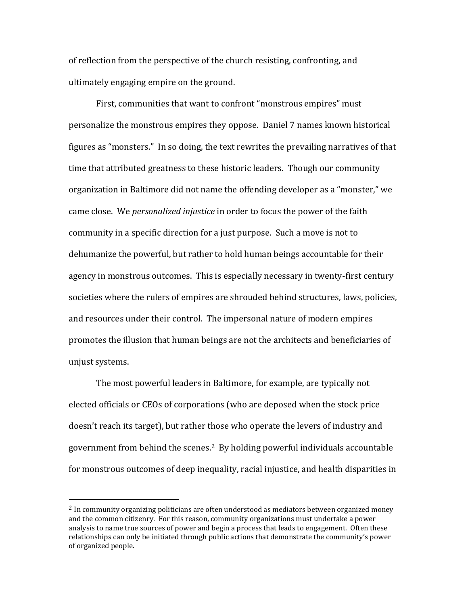of reflection from the perspective of the church resisting, confronting, and ultimately engaging empire on the ground.

First, communities that want to confront "monstrous empires" must personalize the monstrous empires they oppose. Daniel 7 names known historical figures as "monsters." In so doing, the text rewrites the prevailing narratives of that time that attributed greatness to these historic leaders. Though our community organization in Baltimore did not name the offending developer as a "monster," we came close. We *personalized injustice* in order to focus the power of the faith community in a specific direction for a just purpose. Such a move is not to dehumanize the powerful, but rather to hold human beings accountable for their agency in monstrous outcomes. This is especially necessary in twenty-first century societies where the rulers of empires are shrouded behind structures, laws, policies, and resources under their control. The impersonal nature of modern empires promotes the illusion that human beings are not the architects and beneficiaries of unjust systems.

The most powerful leaders in Baltimore, for example, are typically not elected officials or CEOs of corporations (who are deposed when the stock price doesn't reach its target), but rather those who operate the levers of industry and government from behind the scenes.2 By holding powerful individuals accountable for monstrous outcomes of deep inequality, racial injustice, and health disparities in

 $<sup>2</sup>$  In community organizing politicians are often understood as mediators between organized money</sup> and the common citizenry. For this reason, community organizations must undertake a power analysis to name true sources of power and begin a process that leads to engagement. Often these relationships can only be initiated through public actions that demonstrate the community's power of organized people.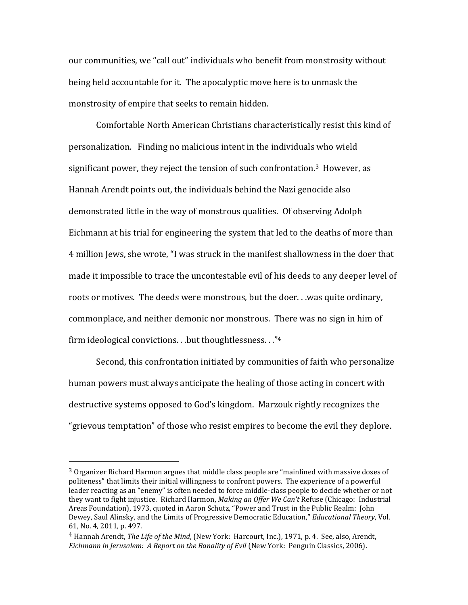our communities, we "call out" individuals who benefit from monstrosity without being held accountable for it. The apocalyptic move here is to unmask the monstrosity of empire that seeks to remain hidden.

Comfortable North American Christians characteristically resist this kind of personalization. Finding no malicious intent in the individuals who wield significant power, they reject the tension of such confrontation. <sup>3</sup> However, as Hannah Arendt points out, the individuals behind the Nazi genocide also demonstrated little in the way of monstrous qualities. Of observing Adolph Eichmann at his trial for engineering the system that led to the deaths of more than 4 million Jews, she wrote, "I was struck in the manifest shallowness in the doer that made it impossible to trace the uncontestable evil of his deeds to any deeper level of roots or motives. The deeds were monstrous, but the doer. . .was quite ordinary, commonplace, and neither demonic nor monstrous. There was no sign in him of firm ideological convictions. . .but thoughtlessness. . ."4

Second, this confrontation initiated by communities of faith who personalize human powers must always anticipate the healing of those acting in concert with destructive systems opposed to God's kingdom. Marzouk rightly recognizes the "grievous temptation" of those who resist empires to become the evil they deplore.

<sup>3</sup> Organizer Richard Harmon argues that middle class people are "mainlined with massive doses of politeness" that limits their initial willingness to confront powers. The experience of a powerful leader reacting as an "enemy" is often needed to force middle-class people to decide whether or not they want to fight injustice. Richard Harmon, *Making an Offer We Can't* Refuse (Chicago: Industrial Areas Foundation), 1973, quoted in Aaron Schutz, "Power and Trust in the Public Realm: John Dewey, Saul Alinsky, and the Limits of Progressive Democratic Education," *Educational Theory*, Vol. 61, No. 4, 2011, p. 497.

<sup>4</sup> Hannah Arendt, *The Life of the Mind*, (New York: Harcourt, Inc.), 1971, p. 4. See, also, Arendt, *Eichmann in Jerusalem: A Report on the Banality of Evil* (New York: Penguin Classics, 2006).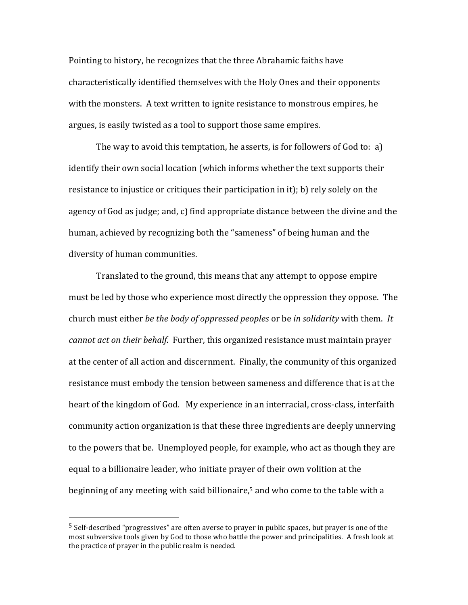Pointing to history, he recognizes that the three Abrahamic faiths have characteristically identified themselves with the Holy Ones and their opponents with the monsters. A text written to ignite resistance to monstrous empires, he argues, is easily twisted as a tool to support those same empires.

The way to avoid this temptation, he asserts, is for followers of God to: a) identify their own social location (which informs whether the text supports their resistance to injustice or critiques their participation in it); b) rely solely on the agency of God as judge; and, c) find appropriate distance between the divine and the human, achieved by recognizing both the "sameness" of being human and the diversity of human communities.

Translated to the ground, this means that any attempt to oppose empire must be led by those who experience most directly the oppression they oppose. The church must either *be the body of oppressed peoples* or be *in solidarity* with them. *It cannot act on their behalf.* Further, this organized resistance must maintain prayer at the center of all action and discernment. Finally, the community of this organized resistance must embody the tension between sameness and difference that is at the heart of the kingdom of God. My experience in an interracial, cross-class, interfaith community action organization is that these three ingredients are deeply unnerving to the powers that be. Unemployed people, for example, who act as though they are equal to a billionaire leader, who initiate prayer of their own volition at the beginning of any meeting with said billionaire,<sup>5</sup> and who come to the table with a

<sup>5</sup> Self-described "progressives" are often averse to prayer in public spaces, but prayer is one of the most subversive tools given by God to those who battle the power and principalities. A fresh look at the practice of prayer in the public realm is needed.